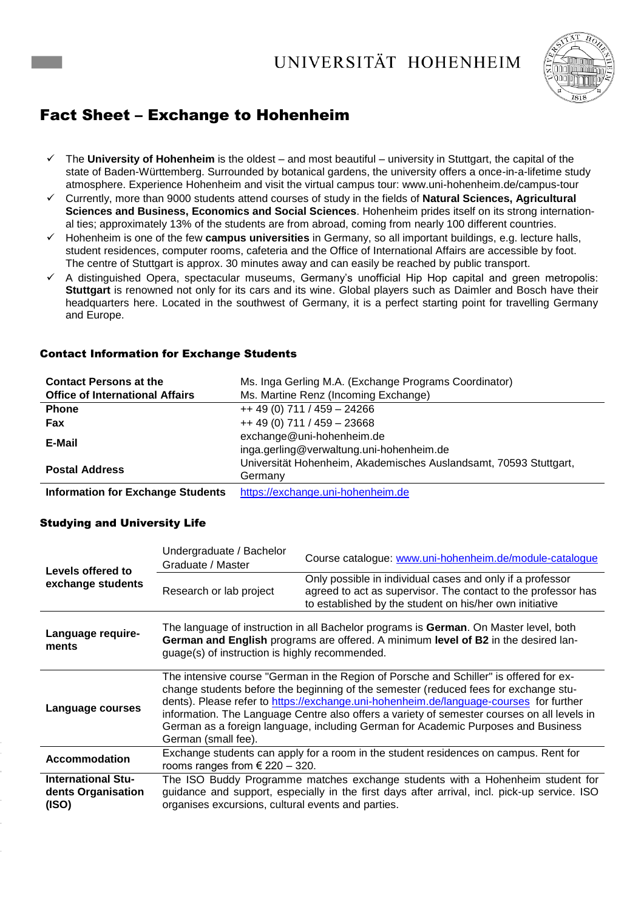### UNIVERSITÄT HOHENHEIM



### Fact Sheet – Exchange to Hohenheim

- The **University of Hohenheim** is the oldest and most beautiful university in Stuttgart, the capital of the state of Baden-Württemberg. Surrounded by botanical gardens, the university offers a once-in-a-lifetime study atmosphere. Experience Hohenheim and visit the virtual campus tour: www.uni-hohenheim.de/campus-tour
- Currently, more than 9000 students attend courses of study in the fields of **Natural Sciences, Agricultural Sciences and Business, Economics and Social Sciences**. Hohenheim prides itself on its strong international ties; approximately 13% of the students are from abroad, coming from nearly 100 different countries.
- Hohenheim is one of the few **campus universities** in Germany, so all important buildings, e.g. lecture halls, student residences, computer rooms, cafeteria and the Office of International Affairs are accessible by foot. The centre of Stuttgart is approx. 30 minutes away and can easily be reached by public transport.
- A distinguished Opera, spectacular museums, Germany's unofficial Hip Hop capital and green metropolis: **Stuttgart** is renowned not only for its cars and its wine. Global players such as Daimler and Bosch have their headquarters here. Located in the southwest of Germany, it is a perfect starting point for travelling Germany and Europe.

| <b>Contact Persons at the</b>            | Ms. Inga Gerling M.A. (Exchange Programs Coordinator)             |  |  |
|------------------------------------------|-------------------------------------------------------------------|--|--|
| <b>Office of International Affairs</b>   | Ms. Martine Renz (Incoming Exchange)                              |  |  |
| <b>Phone</b>                             | $++ 49(0) 711 / 459 - 24266$                                      |  |  |
| <b>Fax</b>                               | $++ 49(0) 711 / 459 - 23668$                                      |  |  |
| E-Mail                                   | exchange@uni-hohenheim.de                                         |  |  |
|                                          | inga.gerling@verwaltung.uni-hohenheim.de                          |  |  |
| <b>Postal Address</b>                    | Universität Hohenheim, Akademisches Auslandsamt, 70593 Stuttgart, |  |  |
|                                          | Germany                                                           |  |  |
| <b>Information for Exchange Students</b> | https://exchange.uni-hohenheim.de                                 |  |  |

#### Contact Information for Exchange Students

### Studying and University Life

| Levels offered to                                        | Undergraduate / Bachelor<br>Graduate / Master                                                                                                                                                                                                                                                                                                                                                                                                                                       | Course catalogue: www.uni-hohenheim.de/module-catalogue                                                                                                                               |  |
|----------------------------------------------------------|-------------------------------------------------------------------------------------------------------------------------------------------------------------------------------------------------------------------------------------------------------------------------------------------------------------------------------------------------------------------------------------------------------------------------------------------------------------------------------------|---------------------------------------------------------------------------------------------------------------------------------------------------------------------------------------|--|
| exchange students                                        | Research or lab project                                                                                                                                                                                                                                                                                                                                                                                                                                                             | Only possible in individual cases and only if a professor<br>agreed to act as supervisor. The contact to the professor has<br>to established by the student on his/her own initiative |  |
| Language require-<br>ments                               | The language of instruction in all Bachelor programs is German. On Master level, both<br>German and English programs are offered. A minimum level of B2 in the desired lan-<br>guage(s) of instruction is highly recommended.                                                                                                                                                                                                                                                       |                                                                                                                                                                                       |  |
| Language courses                                         | The intensive course "German in the Region of Porsche and Schiller" is offered for ex-<br>change students before the beginning of the semester (reduced fees for exchange stu-<br>dents). Please refer to https://exchange.uni-hohenheim.de/language-courses for further<br>information. The Language Centre also offers a variety of semester courses on all levels in<br>German as a foreign language, including German for Academic Purposes and Business<br>German (small fee). |                                                                                                                                                                                       |  |
| <b>Accommodation</b>                                     | Exchange students can apply for a room in the student residences on campus. Rent for<br>rooms ranges from $\epsilon$ 220 - 320.                                                                                                                                                                                                                                                                                                                                                     |                                                                                                                                                                                       |  |
| <b>International Stu-</b><br>dents Organisation<br>(ISO) | The ISO Buddy Programme matches exchange students with a Hohenheim student for<br>guidance and support, especially in the first days after arrival, incl. pick-up service. ISO<br>organises excursions, cultural events and parties.                                                                                                                                                                                                                                                |                                                                                                                                                                                       |  |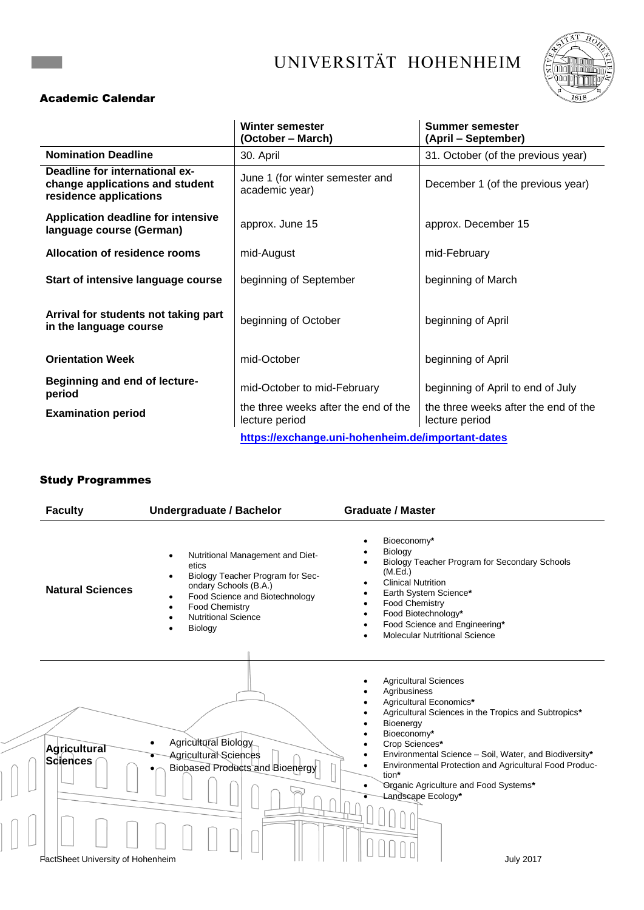# UNIVERSITÄT HOHENHEIM



### Academic Calendar

|                                                                                             | <b>Winter semester</b><br>(October – March)            | <b>Summer semester</b><br>(April - September)          |
|---------------------------------------------------------------------------------------------|--------------------------------------------------------|--------------------------------------------------------|
| <b>Nomination Deadline</b>                                                                  | 30. April                                              | 31. October (of the previous year)                     |
| Deadline for international ex-<br>change applications and student<br>residence applications | June 1 (for winter semester and<br>academic year)      | December 1 (of the previous year)                      |
| <b>Application deadline for intensive</b><br>language course (German)                       | approx. June 15                                        | approx. December 15                                    |
| Allocation of residence rooms                                                               | mid-August                                             | mid-February                                           |
| Start of intensive language course                                                          | beginning of September                                 | beginning of March                                     |
| Arrival for students not taking part<br>in the language course                              | beginning of October                                   | beginning of April                                     |
| <b>Orientation Week</b>                                                                     | mid-October                                            | beginning of April                                     |
| Beginning and end of lecture-<br>period                                                     | mid-October to mid-February                            | beginning of April to end of July                      |
| <b>Examination period</b>                                                                   | the three weeks after the end of the<br>lecture period | the three weeks after the end of the<br>lecture period |
| https://exchange.uni-hohenheim.de/important-dates                                           |                                                        |                                                        |

### Study Programmes

 $\overline{\phantom{0}}$ 

| <b>Faculty</b><br><b>Undergraduate / Bachelor</b>                    |                                                                                                                                                                                                                                                                      | <b>Graduate / Master</b>                                                                                                                                                                                                                                                                                                                                                                      |  |
|----------------------------------------------------------------------|----------------------------------------------------------------------------------------------------------------------------------------------------------------------------------------------------------------------------------------------------------------------|-----------------------------------------------------------------------------------------------------------------------------------------------------------------------------------------------------------------------------------------------------------------------------------------------------------------------------------------------------------------------------------------------|--|
| <b>Natural Sciences</b>                                              | Nutritional Management and Diet-<br>$\bullet$<br>etics<br>Biology Teacher Program for Sec-<br>$\bullet$<br>ondary Schools (B.A.)<br>Food Science and Biotechnology<br>$\bullet$<br>Food Chemistry<br>$\bullet$<br><b>Nutritional Science</b><br>$\bullet$<br>Biology | Bioeconomy*<br>Biology<br>Biology Teacher Program for Secondary Schools<br>(M.Ed.)<br><b>Clinical Nutrition</b><br>Earth System Science*<br>Food Chemistry<br>Food Biotechnology*<br>Food Science and Engineering*<br><b>Molecular Nutritional Science</b>                                                                                                                                    |  |
| Agricultural<br><b>Sciences</b><br>FactSheet University of Hohenheim | Agricultural Biology<br>Agricultural Sciences<br>Biobased Products and Bioenergy                                                                                                                                                                                     | <b>Agricultural Sciences</b><br>Agribusiness<br>Agricultural Economics*<br>Agricultural Sciences in the Tropics and Subtropics*<br>Bioenergy<br>Bioeconomy*<br>Crop Sciences*<br>Environmental Science - Soil, Water, and Biodiversity*<br>Environmental Protection and Agricultural Food Produc-<br>tion*<br>Organic Agriculture and Food Systems*<br>Landscape Ecology*<br><b>July 2017</b> |  |